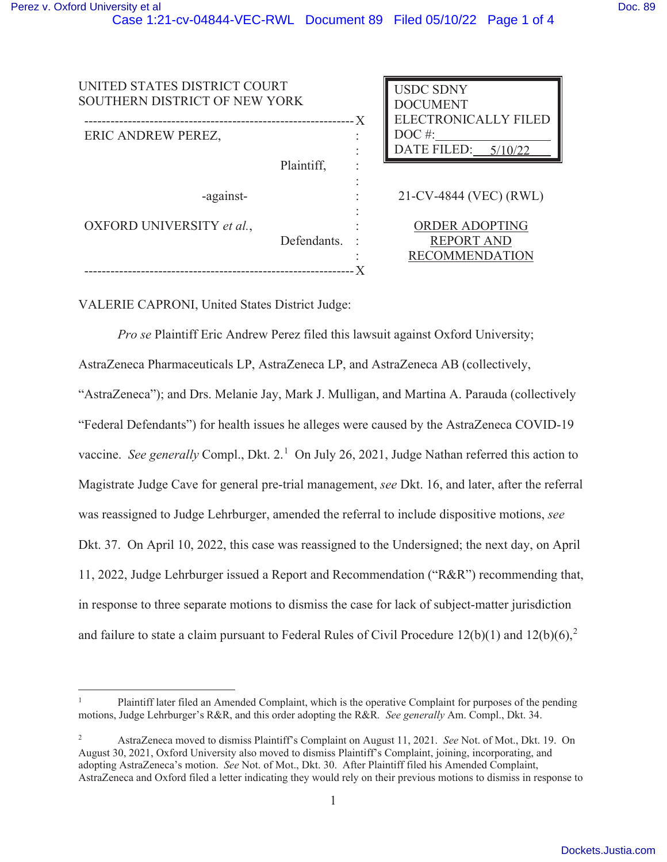| UNITED STATES DISTRICT COURT<br>SOUTHERN DISTRICT OF NEW YORK<br>- X |             | <b>USDC SDNY</b><br><b>DOCUMENT</b><br><b>ELECTRONICALLY FILED</b> |                                                              |
|----------------------------------------------------------------------|-------------|--------------------------------------------------------------------|--------------------------------------------------------------|
| ERIC ANDREW PEREZ,                                                   |             |                                                                    | $DOC$ #:<br>DATE FILED:<br>5/10/22                           |
|                                                                      | Plaintiff,  |                                                                    |                                                              |
| -against-                                                            |             |                                                                    | 21-CV-4844 (VEC) (RWL)                                       |
| OXFORD UNIVERSITY et al.,                                            | Defendants. |                                                                    | ORDER ADOPTING<br><b>REPORT AND</b><br><b>RECOMMENDATION</b> |
|                                                                      |             |                                                                    |                                                              |

VALERIE CAPRONI, United States District Judge:

*Pro se* Plaintiff Eric Andrew Perez filed this lawsuit against Oxford University; AstraZeneca Pharmaceuticals LP, AstraZeneca LP, and AstraZeneca AB (collectively, "AstraZeneca"); and Drs. Melanie Jay, Mark J. Mulligan, and Martina A. Parauda (collectively "Federal Defendants") for health issues he alleges were caused by the AstraZeneca COVID-19 vaccine. See generally Compl., Dkt. 2.<sup>1</sup> On July 26, 2021, Judge Nathan referred this action to Magistrate Judge Cave for general pre-trial management, *see* Dkt. 16, and later, after the referral was reassigned to Judge Lehrburger, amended the referral to include dispositive motions, *see*  Dkt. 37. On April 10, 2022, this case was reassigned to the Undersigned; the next day, on April 11, 2022, Judge Lehrburger issued a Report and Recommendation ("R&R") recommending that, in response to three separate motions to dismiss the case for lack of subject-matter jurisdiction and failure to state a claim pursuant to Federal Rules of Civil Procedure 12(b)(1) and 12(b)(6),<sup>2</sup>

<sup>1</sup> Plaintiff later filed an Amended Complaint, which is the operative Complaint for purposes of the pending motions, Judge Lehrburger's R&R, and this order adopting the R&R*. See generally* Am. Compl., Dkt. 34.

<sup>2</sup> AstraZeneca moved to dismiss Plaintiff's Complaint on August 11, 2021. *See* Not. of Mot., Dkt. 19. On August 30, 2021, Oxford University also moved to dismiss Plaintiff's Complaint, joining, incorporating, and adopting AstraZeneca's motion. *See* Not. of Mot., Dkt. 30. After Plaintiff filed his Amended Complaint, AstraZeneca and Oxford filed a letter indicating they would rely on their previous motions to dismiss in response to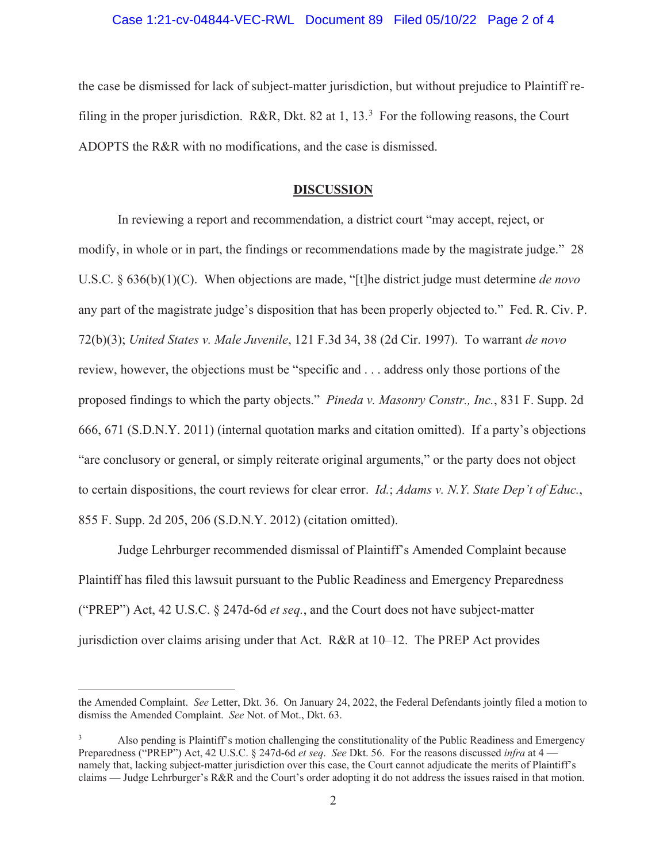## Case 1:21-cv-04844-VEC-RWL Document 89 Filed 05/10/22 Page 2 of 4

the case be dismissed for lack of subject-matter jurisdiction, but without prejudice to Plaintiff refiling in the proper jurisdiction. R&R, Dkt. 82 at 1, 13.<sup>3</sup> For the following reasons, the Court ADOPTS the R&R with no modifications, and the case is dismissed.

### **DISCUSSION**

 In reviewing a report and recommendation, a district court "may accept, reject, or modify, in whole or in part, the findings or recommendations made by the magistrate judge." 28 U.S.C. § 636(b)(1)(C). When objections are made, "[t]he district judge must determine *de novo* any part of the magistrate judge's disposition that has been properly objected to." Fed. R. Civ. P. 72(b)(3); *United States v. Male Juvenile*, 121 F.3d 34, 38 (2d Cir. 1997). To warrant *de novo* review, however, the objections must be "specific and . . . address only those portions of the proposed findings to which the party objects." *Pineda v. Masonry Constr., Inc.*, 831 F. Supp. 2d 666, 671 (S.D.N.Y. 2011) (internal quotation marks and citation omitted). If a party's objections "are conclusory or general, or simply reiterate original arguments," or the party does not object to certain dispositions, the court reviews for clear error. *Id.*; *Adams v. N.Y. State Dep't of Educ.*, 855 F. Supp. 2d 205, 206 (S.D.N.Y. 2012) (citation omitted).

 Judge Lehrburger recommended dismissal of Plaintiff's Amended Complaint because Plaintiff has filed this lawsuit pursuant to the Public Readiness and Emergency Preparedness ("PREP") Act, 42 U.S.C. § 247d-6d *et seq.*, and the Court does not have subject-matter jurisdiction over claims arising under that Act. R&R at 10–12. The PREP Act provides

the Amended Complaint. *See* Letter, Dkt. 36. On January 24, 2022, the Federal Defendants jointly filed a motion to dismiss the Amended Complaint. *See* Not. of Mot., Dkt. 63.

<sup>3</sup> Also pending is Plaintiff's motion challenging the constitutionality of the Public Readiness and Emergency Preparedness ("PREP") Act, 42 U.S.C. § 247d-6d *et seq*. *See* Dkt. 56. For the reasons discussed *infra* at 4 namely that, lacking subject-matter jurisdiction over this case, the Court cannot adjudicate the merits of Plaintiff's claims — Judge Lehrburger's R&R and the Court's order adopting it do not address the issues raised in that motion.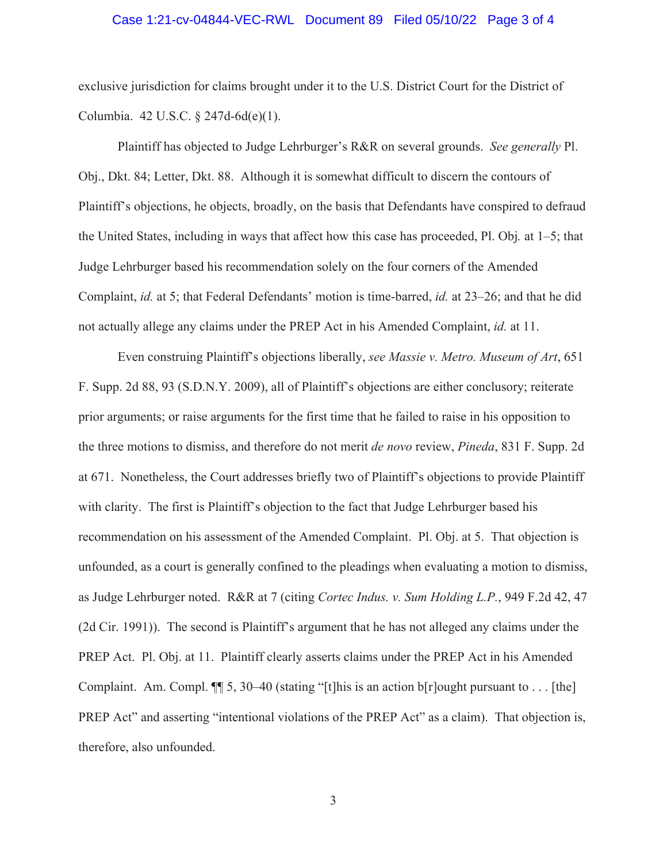## Case 1:21-cv-04844-VEC-RWL Document 89 Filed 05/10/22 Page 3 of 4

exclusive jurisdiction for claims brought under it to the U.S. District Court for the District of Columbia. 42 U.S.C. § 247d-6d(e)(1).

Plaintiff has objected to Judge Lehrburger's R&R on several grounds. *See generally* Pl. Obj., Dkt. 84; Letter, Dkt. 88. Although it is somewhat difficult to discern the contours of Plaintiff's objections, he objects, broadly, on the basis that Defendants have conspired to defraud the United States, including in ways that affect how this case has proceeded, Pl. Obj*.* at 1–5; that Judge Lehrburger based his recommendation solely on the four corners of the Amended Complaint, *id.* at 5; that Federal Defendants' motion is time-barred, *id.* at 23–26; and that he did not actually allege any claims under the PREP Act in his Amended Complaint, *id.* at 11.

 Even construing Plaintiff's objections liberally, *see Massie v. Metro. Museum of Art*, 651 F. Supp. 2d 88, 93 (S.D.N.Y. 2009), all of Plaintiff's objections are either conclusory; reiterate prior arguments; or raise arguments for the first time that he failed to raise in his opposition to the three motions to dismiss, and therefore do not merit *de novo* review, *Pineda*, 831 F. Supp. 2d at 671. Nonetheless, the Court addresses briefly two of Plaintiff's objections to provide Plaintiff with clarity. The first is Plaintiff's objection to the fact that Judge Lehrburger based his recommendation on his assessment of the Amended Complaint. Pl. Obj. at 5. That objection is unfounded, as a court is generally confined to the pleadings when evaluating a motion to dismiss, as Judge Lehrburger noted. R&R at 7 (citing *Cortec Indus. v. Sum Holding L.P.*, 949 F.2d 42, 47 (2d Cir. 1991)). The second is Plaintiff's argument that he has not alleged any claims under the PREP Act. Pl. Obj. at 11. Plaintiff clearly asserts claims under the PREP Act in his Amended Complaint. Am. Compl.  $\P$  5, 30–40 (stating "[t]his is an action b[r] ought pursuant to . . . [the] PREP Act" and asserting "intentional violations of the PREP Act" as a claim). That objection is, therefore, also unfounded.